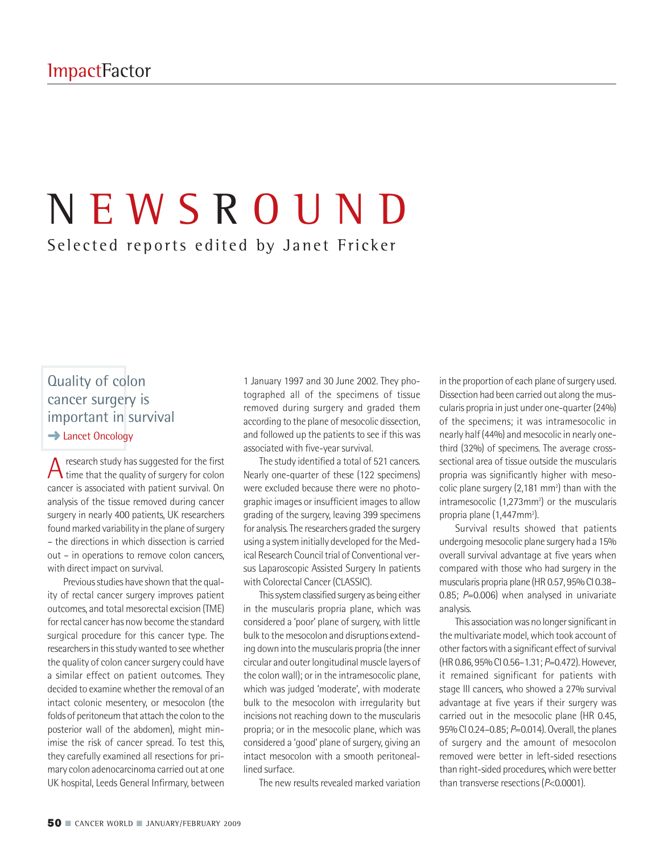# N E W S R O U N D

Selected reports edited by Janet Fricker

# Quality of colon cancer surgery is important in survival **→ Lancet Oncology**

 $A$  time that the quality of surgery for colon<br>time that the quality of surgery for colon cancer is associated with patient survival. On analysis of the tissue removed during cancer surgery in nearly 400 patients, UK researchers found marked variability in the plane of surgery – the directions in which dissection is carried out – in operations to remove colon cancers, with direct impact on survival.

Previous studies have shown that the quality of rectal cancer surgery improves patient outcomes, and total mesorectal excision (TME) for rectal cancer has now become the standard surgical procedure for this cancer type. The researchers in this study wanted to see whether the quality of colon cancer surgery could have a similar effect on patient outcomes. They decided to examine whether the removal of an intact colonic mesentery, or mesocolon (the folds of peritoneum that attach the colon to the posterior wall of the abdomen), might minimise the risk of cancer spread. To test this, they carefully examined all resections for primary colon adenocarcinoma carried out at one UK hospital, Leeds General Infirmary, between

1 January 1997 and 30 June 2002. They photographed all of the specimens of tissue removed during surgery and graded them according to the plane of mesocolic dissection, and followed up the patients to see if this was associated with five-year survival.

The study identified a total of 521 cancers. Nearly one-quarter of these (122 specimens) were excluded because there were no photographic images or insufficient images to allow grading of the surgery, leaving 399 specimens for analysis.The researchers graded the surgery using a system initially developed for the Medical Research Council trial of Conventional versus Laparoscopic Assisted Surgery In patients with Colorectal Cancer (CLASSIC).

This system classified surgery as being either in the muscularis propria plane, which was considered a 'poor' plane of surgery, with little bulk to the mesocolon and disruptions extending down into the muscularis propria (the inner circular and outer longitudinal muscle layers of the colon wall); or in the intramesocolic plane, which was judged 'moderate', with moderate bulk to the mesocolon with irregularity but incisions not reaching down to the muscularis propria; or in the mesocolic plane, which was considered a 'good' plane of surgery, giving an intact mesocolon with a smooth peritoneallined surface.

The new results revealed marked variation

in the proportion of each plane of surgery used. Dissection had been carried out along the muscularis propria in just under one-quarter(24%) of the specimens; it was intramesocolic in nearly half(44%) and mesocolic in nearly onethird (32%) of specimens. The average crosssectional area of tissue outside the muscularis propria was significantly higher with mesocolic plane surgery  $(2,181 \text{ mm}^2)$  than with the  $intramesocolic (1,273mm<sup>2</sup>)$  or the muscularis propria plane (1,447mm<sup>2</sup>).

Survival results showed that patients undergoing mesocolic plane surgery had a 15% overall survival advantage at five years when compared with those who had surgery in the muscularis propria plane (HR 0.57, 95% CI 0.38-0.85; *P*=0.006) when analysed in univariate analysis.

This association was no longer significant in the multivariate model,which took account of other factors with a significant effect of survival (HR 0.86, 95%CI 0.56–1.31; *P*=0.472).However, it remained significant for patients with stage III cancers, who showed a 27% survival advantage at five years if their surgery was carried out in the mesocolic plane (HR 0.45, 95% CI 0.24-0.85; *P*=0.014). Overall, the planes of surgery and the amount of mesocolon removed were better in left-sided resections than right-sided procedures, which were better than transverse resections(*P*<0.0001).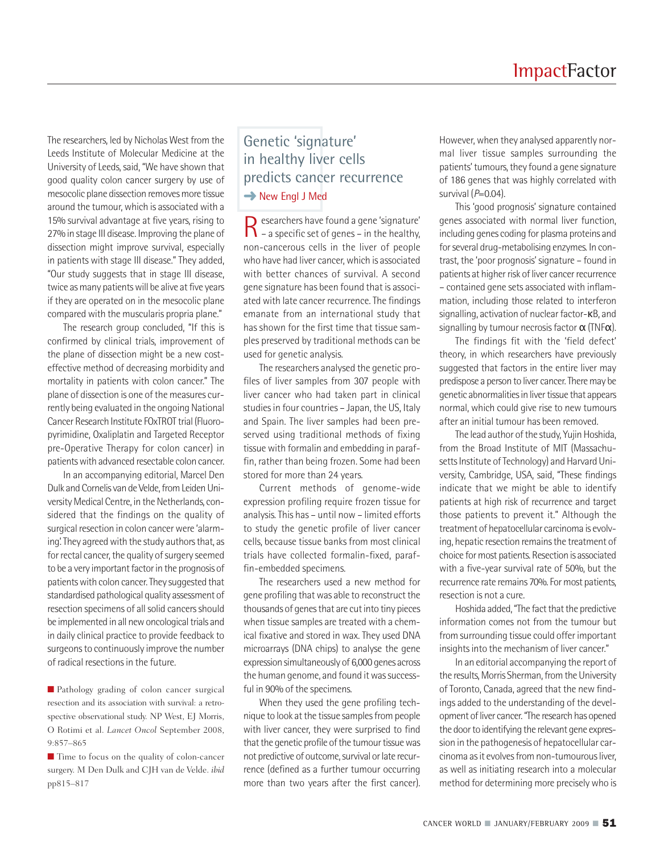The researchers, led by Nicholas West from the Leeds Institute of Molecular Medicine at the University of Leeds, said, "We have shown that good quality colon cancer surgery by use of mesocolic plane dissection removes more tissue around the tumour, which is associated with a 15% survival advantage at five years, rising to 27% in stage III disease. Improving the plane of dissection might improve survival, especially in patients with stage III disease." They added, "Our study suggests that in stage III disease, twice as many patients will be alive at five years if they are operated on in the mesocolic plane compared with the muscularis propria plane."

The research group concluded, "If this is confirmed by clinical trials, improvement of the plane of dissection might be a new costeffective method of decreasing morbidity and mortality in patients with colon cancer." The plane of dissection is one of the measures currently being evaluated in the ongoing National Cancer Research Institute FOxTROT trial (Fluoropyrimidine, Oxaliplatin and Targeted Receptor pre-Operative Therapy for colon cancer) in patients with advanced resectable colon cancer.

In an accompanying editorial, Marcel Den Dulk and Cornelis van de Velde, from Leiden University Medical Centre, in the Netherlands, considered that the findings on the quality of surgical resection in colon cancer were 'alarming'. They agreed with the study authors that, as for rectal cancer, the quality of surgery seemed to be a very important factor in the prognosis of patients with colon cancer. They suggested that standardised pathological quality assessment of resection specimens of all solid cancers should be implemented in all new oncological trials and in daily clinical practice to provide feedback to surgeons to continuously improve the number of radical resections in the future.

■ Pathology grading of colon cancer surgical resection and its association with survival: a retrospective observational study. NP West, EJ Morris, O Rotimi et al. *Lancet Oncol* September 2008, 9:857–865

■ Time to focus on the quality of colon-cancer surgery. M Den Dulk and CJH van de Velde. *ibid* pp815–817

# Genetic 'signature' in healthy liver cells predicts cancer recurrence **→** New Engl J Med

Researchers have found <sup>a</sup> gene 'signature' – a specific set of genes – in the healthy, non-cancerous cells in the liver of people who have had liver cancer, which is associated with better chances of survival. A second gene signature has been found that is associated with late cancer recurrence.The findings emanate from an international study that has shown for the first time that tissue samples preserved by traditional methods can be used for genetic analysis.

The researchers analysed the genetic profiles of liver samples from 307 people with liver cancer who had taken part in clinical studies in four countries - Japan, the US, Italy and Spain. The liver samples had been preserved using traditional methods of fixing tissue with formalin and embedding in paraffin, rather than being frozen. Some had been stored for more than 24 years.

Current methods of genome-wide expression profiling require frozen tissue for analysis.This has – until now – limited efforts to study the genetic profile of liver cancer cells, because tissue banks from most clinical trials have collected formalin-fixed, paraffin-embedded specimens.

The researchers used a new method for gene profiling that was able to reconstruct the thousands of genes that are cut into tiny pieces when tissue samples are treated with a chemical fixative and stored in wax. They used DNA microarrays (DNA chips) to analyse the gene expression simultaneously of 6,000 genes across the human genome, and found it was successful in 90% of the specimens.

When they used the gene profiling technique to look at the tissue samples from people with liver cancer, they were surprised to find that the genetic profile of the tumour tissue was not predictive of outcome, survival or late recurrence (defined as a further tumour occurring more than two years after the first cancer).

However, when they analysed apparently normal liver tissue samples surrounding the patients' tumours, they found a gene signature of 186 genes that was highly correlated with survival ( $P=0.04$ ).

This 'good prognosis' signature contained genes associated with normal liver function, including genes coding for plasma proteins and for several drug-metabolising enzymes. In contrast, the 'poor prognosis' signature - found in patients at higher risk of liver cancer recurrence – contained gene sets associated with inflammation, including those related to interferon signalling, activation of nuclear factor-κB, and signalling by tumour necrosis factor  $\alpha$  (TNF $\alpha$ ).

The findings fit with the 'field defect' theory, in which researchers have previously suggested that factors in the entire liver may predispose a person to liver cancer. There may be genetic abnormalities in liver tissue that appears normal, which could give rise to new tumours after an initial tumour has been removed.

The lead author of the study, Yujin Hoshida. from the Broad Institute of MIT (Massachusetts Institute of Technology) and Harvard University, Cambridge, USA, said, "These findings indicate that we might be able to identify patients at high risk of recurrence and target those patients to prevent it." Although the treatment of hepatocellular carcinoma is evolving, hepatic resection remains the treatment of choice formost patients. Resection is associated with a five-year survival rate of 50%, but the recurrence rate remains 70%. For most patients, resection is not a cure.

Hoshida added, "The fact that the predictive information comes not from the tumour but from surrounding tissue could offerimportant insights into the mechanism of liver cancer."

In an editorial accompanying the report of the results, Morris Sherman, from the University of Toronto, Canada, agreed that the new findings added to the understanding of the development of liver cancer. "The research has opened the door to identifying the relevant gene expression in the pathogenesis of hepatocellular carcinoma as it evolves from non-tumourous liver. as well as initiating research into a molecular method for determining more preciselywho is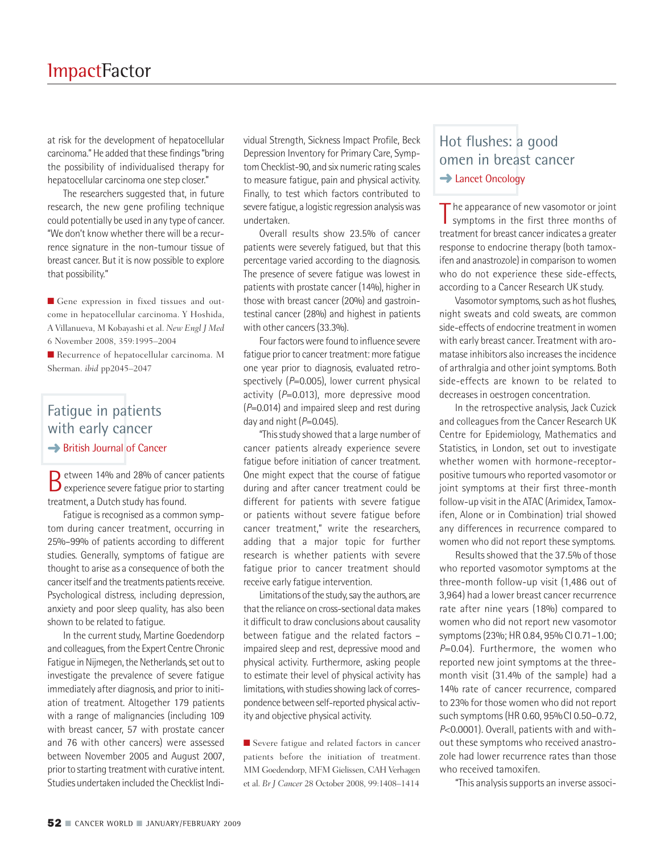at risk for the development of hepatocellular carcinoma." He added that these findings "bring the possibility of individualised therapy for hepatocellular carcinoma one step closer."

The researchers suggested that, in future research, the new gene profiling technique could potentially be used in any type of cancer. "We don't know whether there will be a recurrence signature in the non-tumour tissue of breast cancer. But it is now possible to explore that possibility."

■ Gene expression in fixed tissues and outcome in hepatocellular carcinoma. Y Hoshida, A Villanueva, M Kobayashi et al. *New Engl J Med* 6 November 2008, 359:1995–2004

■ Recurrence of hepatocellular carcinoma. M Sherman. *ibid* pp2045–2047

# Fatigue in patients with early cancer **→ British Journal of Cancer**

Between 14% and 28% of cancer patients<br>
Bexperience severe fatigue prior to starting treatment, a Dutch study has found.

Fatigue is recognised as a common symptom during cancer treatment, occurring in 25%–99% of patients according to different studies. Generally, symptoms of fatigue are thought to arise as a consequence of both the cancer itself and the treatments patients receive. Psychological distress, including depression, anxiety and poor sleep quality, has also been shown to be related to fatigue.

In the current study, Martine Goedendorp and colleagues, from the Expert Centre Chronic Fatigue in Nijmegen, the Netherlands, set out to investigate the prevalence of severe fatigue immediately after diagnosis, and prior to initiation of treatment. Altogether 179 patients with a range of malignancies (including 109 with breast cancer, 57 with prostate cancer and 76 with other cancers) were assessed between November 2005 and August 2007, prior to starting treatment with curative intent. Studies undertaken included the Checklist Indi-

vidual Strength, Sickness Impact Profile, Beck Depression Inventory for Primary Care, SymptomChecklist-90, and six numeric rating scales to measure fatigue, pain and physical activity. Finally, to test which factors contributed to severe fatigue, a logistic regression analysiswas undertaken.

Overall results show 23.5% of cancer patients were severely fatigued, but that this percentage varied according to the diagnosis. The presence of severe fatigue was lowest in patients with prostate cancer (14%), higher in those with breast cancer (20%) and gastrointestinal cancer (28%) and highest in patients with other cancers (33.3%).

Four factors were found to influence severe fatigue prior to cancer treatment: more fatigue one year prior to diagnosis, evaluated retrospectively (*P*=0.005), lower current physical activity (*P*=0.013), more depressive mood (*P*=0.014) and impaired sleep and rest during day and night (*P*=0.045).

"Thisstudy showed that a large number of cancer patients already experience severe fatigue before initiation of cancer treatment. One might expect that the course of fatigue during and after cancer treatment could be different for patients with severe fatigue or patients without severe fatigue before cancer treatment," write the researchers, adding that a major topic for further research is whether patients with severe fatigue prior to cancer treatment should receive early fatigue intervention.

Limitations of the study, say the authors, are that the reliance on cross-sectional data makes it difficult to draw conclusions about causality between fatigue and the related factors – impaired sleep and rest, depressive mood and physical activity. Furthermore, asking people to estimate their level of physical activity has limitations, with studies showing lack of correspondence between self-reported physical activity and objective physical activity.

■ Severe fatigue and related factors in cancer patients before the initiation of treatment. MM Goedendorp, MFM Gielissen, CAH Verhagen et al. *Br J Cancer* 28 October 2008, 99:1408–1414

### Hot flushes: a good omen in breast cancer **→ Lancet Oncology**

T he appearance of new vasomotor or joint symptoms in the first three months of treatment for breast cancer indicates a greater response to endocrine therapy (both tamoxifen and anastrozole) in comparison to women who do not experience these side-effects, according to a Cancer Research UK study.

Vasomotor symptoms, such as hot flushes, night sweats and cold sweats, are common side-effects of endocrine treatment inwomen with early breast cancer. Treatment with aromatase inhibitors also increases the incidence of arthralgia and other joint symptoms. Both side-effects are known to be related to decreases in oestrogen concentration.

In the retrospective analysis, Jack Cuzick and colleagues from the Cancer Research UK Centre for Epidemiology, Mathematics and Statistics, in London, set out to investigate whether women with hormone-receptorpositive tumours who reported vasomotor or joint symptoms at their first three-month follow-up visit in the ATAC (Arimidex, Tamoxifen, Alone or in Combination) trial showed any differences in recurrence compared to women who did not report these symptoms.

Results showed that the 37.5% of those who reported vasomotor symptoms at the three-month follow-up visit (1,486 out of 3,964) had a lower breast cancer recurrence rate after nine years (18%) compared to women who did not report new vasomotor symptoms(23%; HR 0.84, 95% CI 0.71–1.00; *P*=0.04). Furthermore, the women who reported new joint symptoms at the threemonth visit (31.4% of the sample) had a 14% rate of cancer recurrence, compared to 23% for those women who did not report such symptoms (HR 0.60, 95%CI 0.50–0.72, *P*<0.0001). Overall, patients with and without these symptoms who received anastrozole had lower recurrence rates than those who received tamoxifen.

"This analysis supports an inverse associ-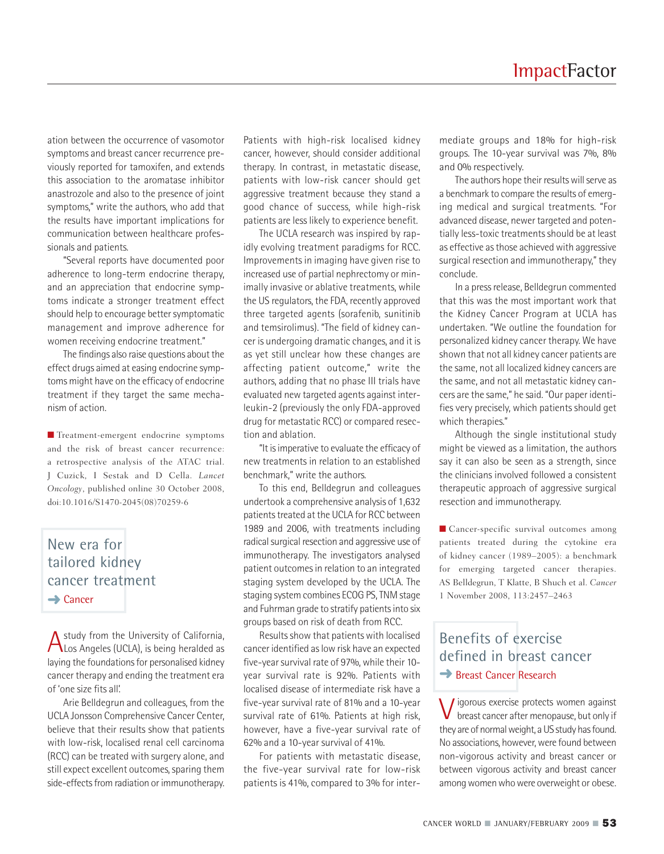ation between the occurrence of vasomotor symptoms and breast cancer recurrence previously reported for tamoxifen, and extends this association to the aromatase inhibitor anastrozole and also to the presence of joint symptoms," write the authors, who add that the results have important implications for communication between healthcare professionals and patients.

"Several reports have documented poor adherence to long-term endocrine therapy, and an appreciation that endocrine symptoms indicate a stronger treatment effect should help to encourage better symptomatic management and improve adherence for women receiving endocrine treatment."

The findings also raise questions about the effect drugs aimed at easing endocrine symptoms might have on the efficacy of endocrine treatment if they target the same mechanism of action.

**■** Treatment-emergent endocrine symptoms and the risk of breast cancer recurrence: a retrospective analysis of the ATAC trial. J Cuzick, I Sestak and D Cella. *Lancet Oncology*, published online 30 October 2008, doi:10.1016/S1470-2045(08)70259-6

# New era for tailored kidney cancer treatment **→** Cancer

A study from the University of California,<br>Los Angeles (UCLA), is being heralded as laying the foundations for personalised kidney cancer therapy and ending the treatment era of 'one size fits all'.

Arie Belldegrun and colleagues, from the UCLA Jonsson Comprehensive Cancer Center, believe that their results show that patients with low-risk, localised renal cell carcinoma (RCC) can be treated with surgery alone, and still expect excellent outcomes, sparing them side-effects from radiation or immunotherapy.

Patients with high-risk localised kidney cancer, however, should consider additional therapy. In contrast, in metastatic disease, patients with low-risk cancer should get aggressive treatment because they stand a good chance of success, while high-risk patients are less likely to experience benefit.

The UCLA research was inspired by rapidly evolving treatment paradigms for RCC. Improvements in imaging have given rise to increased use of partial nephrectomy or minimally invasive or ablative treatments, while the US regulators, the FDA, recently approved three targeted agents (sorafenib, sunitinib and temsirolimus). "The field of kidney cancer is undergoing dramatic changes, and it is as yet still unclear how these changes are affecting patient outcome," write the authors, adding that no phase III trials have evaluated new targeted agents against interleukin-2 (previously the only FDA-approved drug for metastatic RCC) or compared resection and ablation.

"It isimperative to evaluate the efficacy of new treatments in relation to an established benchmark," write the authors.

To this end, Belldegrun and colleagues undertook a comprehensive analysis of 1,632 patients treated at the UCLA for RCC between 1989 and 2006, with treatments including radical surgical resection and aggressive use of immunotherapy. The investigators analysed patient outcomes in relation to an integrated staging system developed by the UCLA. The staging system combines ECOG PS,TNM stage and Fuhrman grade to stratify patients into six groups based on risk of death from RCC.

Results show that patients with localised cancer identified as low risk have an expected five-year survival rate of 97%, while their 10year survival rate is 92%. Patients with localised disease of intermediate risk have a five-year survival rate of 81% and a 10-year survival rate of 61%. Patients at high risk, however, have a five-year survival rate of 62% and a 10-year survival of 41%.

For patients with metastatic disease, the five-year survival rate for low-risk patients is 41%, compared to 3% for intermediate groups and 18% for high-risk groups. The 10-year survival was 7%, 8% and 0% respectively.

The authors hope their results will serve as a benchmark to compare the results of emerging medical and surgical treatments. "For advanced disease, newer targeted and potentially less-toxic treatments should be at least as effective as those achieved with aggressive surgical resection and immunotherapy," they conclude.

In a press release, Belldegrun commented that this was the most important work that the Kidney Cancer Program at UCLA has undertaken. "We outline the foundation for personalized kidney cancer therapy. We have shown that not all kidney cancer patients are the same, not all localized kidney cancers are the same, and not all metastatic kidney cancers are the same," he said. "Our paper identifies very precisely, which patients should get which therapies."

Although the single institutional study might be viewed as a limitation, the authors say it can also be seen as a strength, since the clinicians involved followed a consistent therapeutic approach of aggressive surgical resection and immunotherapy.

■ Cancer-specific survival outcomes among patients treated during the cytokine era of kidney cancer (1989–2005): a benchmark for emerging targeted cancer therapies. AS Belldegrun, T Klatte, B Shuch et al. *Cancer* 1 November 2008, 113:2457–2463

# Benefits of exercise defined in breast cancer **→** Breast Cancer Research

Vigorous exercise protects women against breast cancer after menopause, but only if they are of normal weight, a US study has found. No associations, however, were found between non-vigorous activity and breast cancer or between vigorous activity and breast cancer among women who were overweight or obese.